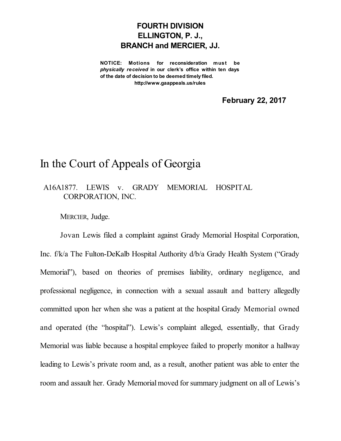## **FOURTH DIVISION ELLINGTON, P. J., BRANCH and MERCIER, JJ.**

**NOTICE: Motions for reconsideration must be** *physically received* **in our clerk's office within ten days of the date of decision to be deemed timely filed. http://www.gaappeals.us/rules**

**February 22, 2017**

## In the Court of Appeals of Georgia

## A16A1877. LEWIS v. GRADY MEMORIAL HOSPITAL CORPORATION, INC.

MERCIER, Judge.

Jovan Lewis filed a complaint against Grady Memorial Hospital Corporation, Inc. f/k/a The Fulton-DeKalb Hospital Authority d/b/a Grady Health System ("Grady Memorial"), based on theories of premises liability, ordinary negligence, and professional negligence, in connection with a sexual assault and battery allegedly committed upon her when she was a patient at the hospital Grady Memorial owned and operated (the "hospital"). Lewis's complaint alleged, essentially, that Grady Memorial was liable because a hospital employee failed to properly monitor a hallway leading to Lewis's private room and, as a result, another patient was able to enter the room and assault her. Grady Memorial moved for summary judgment on all of Lewis's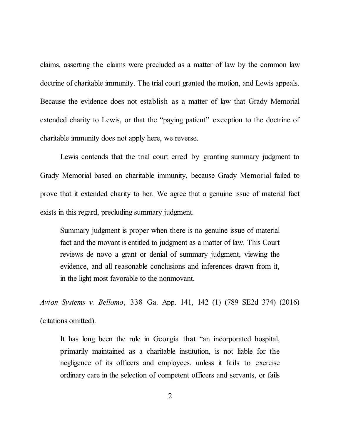claims, asserting the claims were precluded as a matter of law by the common law doctrine of charitable immunity. The trial court granted the motion, and Lewis appeals. Because the evidence does not establish as a matter of law that Grady Memorial extended charity to Lewis, or that the "paying patient" exception to the doctrine of charitable immunity does not apply here, we reverse.

Lewis contends that the trial court erred by granting summary judgment to Grady Memorial based on charitable immunity, because Grady Memorial failed to prove that it extended charity to her. We agree that a genuine issue of material fact exists in this regard, precluding summary judgment.

Summary judgment is proper when there is no genuine issue of material fact and the movant is entitled to judgment as a matter of law. This Court reviews de novo a grant or denial of summary judgment, viewing the evidence, and all reasonable conclusions and inferences drawn from it, in the light most favorable to the nonmovant.

*Avion Systems v. Bellomo*, 338 Ga. App. 141, 142 (1) (789 SE2d 374) (2016) (citations omitted).

It has long been the rule in Georgia that "an incorporated hospital, primarily maintained as a charitable institution, is not liable for the negligence of its officers and employees, unless it fails to exercise ordinary care in the selection of competent officers and servants, or fails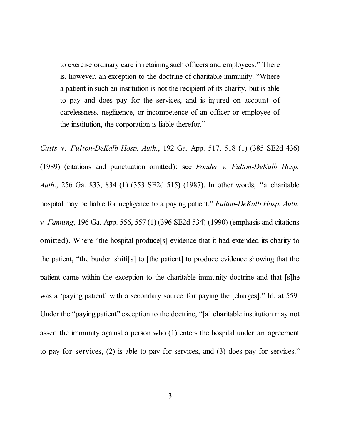to exercise ordinary care in retaining such officers and employees." There is, however, an exception to the doctrine of charitable immunity. "Where a patient in such an institution is not the recipient of its charity, but is able to pay and does pay for the services, and is injured on account of carelessness, negligence, or incompetence of an officer or employee of the institution, the corporation is liable therefor."

*Cutts v. Fulton-DeKalb Hosp. Auth*., 192 Ga. App. 517, 518 (1) (385 SE2d 436) (1989) (citations and punctuation omitted); see *Ponder v. Fulton-DeKalb Hosp. Auth*., 256 Ga. 833, 834 (1) (353 SE2d 515) (1987). In other words, "a charitable hospital may be liable for negligence to a paying patient." *Fulton-DeKalb Hosp. Auth. v. Fanning*, 196 Ga. App. 556, 557 (1) (396 SE2d 534) (1990) (emphasis and citations omitted). Where "the hospital produce[s] evidence that it had extended its charity to the patient, "the burden shift[s] to [the patient] to produce evidence showing that the patient came within the exception to the charitable immunity doctrine and that [s]he was a 'paying patient' with a secondary source for paying the [charges]." Id. at 559. Under the "paying patient" exception to the doctrine, "[a] charitable institution may not assert the immunity against a person who (1) enters the hospital under an agreement to pay for services, (2) is able to pay for services, and (3) does pay for services."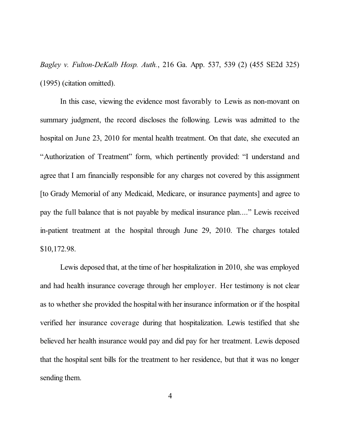*Bagley v. Fulton-DeKalb Hosp. Auth.*, 216 Ga. App. 537, 539 (2) (455 SE2d 325) (1995) (citation omitted).

In this case, viewing the evidence most favorably to Lewis as non-movant on summary judgment, the record discloses the following. Lewis was admitted to the hospital on June 23, 2010 for mental health treatment. On that date, she executed an "Authorization of Treatment" form, which pertinently provided: "I understand and agree that I am financially responsible for any charges not covered by this assignment [to Grady Memorial of any Medicaid, Medicare, or insurance payments] and agree to pay the full balance that is not payable by medical insurance plan...." Lewis received in-patient treatment at the hospital through June 29, 2010. The charges totaled \$10,172.98.

Lewis deposed that, at the time of her hospitalization in 2010, she was employed and had health insurance coverage through her employer. Her testimony is not clear as to whether she provided the hospital with her insurance information or if the hospital verified her insurance coverage during that hospitalization. Lewis testified that she believed her health insurance would pay and did pay for her treatment. Lewis deposed that the hospital sent bills for the treatment to her residence, but that it was no longer sending them.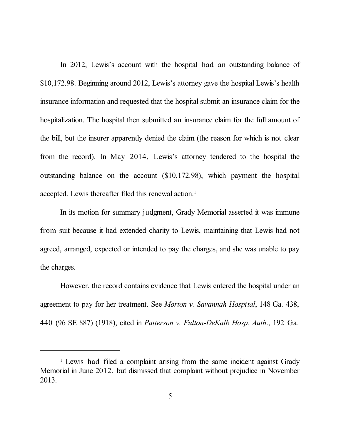In 2012, Lewis's account with the hospital had an outstanding balance of \$10,172.98. Beginning around 2012, Lewis's attorney gave the hospital Lewis's health insurance information and requested that the hospital submit an insurance claim for the hospitalization. The hospital then submitted an insurance claim for the full amount of the bill, but the insurer apparently denied the claim (the reason for which is not clear from the record). In May 2014, Lewis's attorney tendered to the hospital the outstanding balance on the account (\$10,172.98), which payment the hospital accepted. Lewis thereafter filed this renewal action. 1

In its motion for summary judgment, Grady Memorial asserted it was immune from suit because it had extended charity to Lewis, maintaining that Lewis had not agreed, arranged, expected or intended to pay the charges, and she was unable to pay the charges.

However, the record contains evidence that Lewis entered the hospital under an agreement to pay for her treatment. See *Morton v. Savannah Hospital*, 148 Ga. 438, 440 (96 SE 887) (1918), cited in *Patterson v. Fulton-DeKalb Hosp. Auth*., 192 Ga.

<sup>&</sup>lt;sup>1</sup> Lewis had filed a complaint arising from the same incident against Grady Memorial in June 2012, but dismissed that complaint without prejudice in November 2013.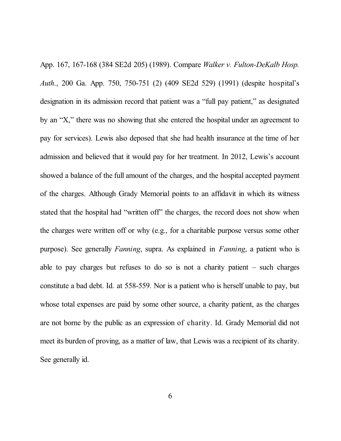App. 167, 167-168 (384 SE2d 205) (1989). Compare *Walker v. Fulton-DeKalb Hosp. Auth*., 200 Ga. App. 750, 750-751 (2) (409 SE2d 529) (1991) (despite hospital's designation in its admission record that patient was a "full pay patient," as designated by an "X," there was no showing that she entered the hospital under an agreement to pay for services). Lewis also deposed that she had health insurance at the time of her admission and believed that it would pay for her treatment. In 2012, Lewis's account showed a balance of the full amount of the charges, and the hospital accepted payment of the charges. Although Grady Memorial points to an affidavit in which its witness stated that the hospital had "written off" the charges, the record does not show when the charges were written off or why (e.g., for a charitable purpose versus some other purpose). See generally *Fanning*, supra. As explained in *Fanning*, a patient who is able to pay charges but refuses to do so is not a charity patient – such charges constitute a bad debt. Id. at 558-559. Nor is a patient who is herself unable to pay, but whose total expenses are paid by some other source, a charity patient, as the charges are not borne by the public as an expression of charity. Id. Grady Memorial did not meet its burden of proving, as a matter of law, that Lewis was a recipient of its charity. See generally id.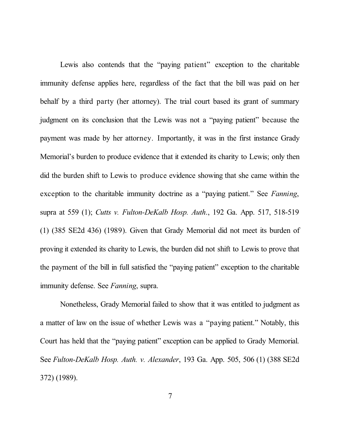Lewis also contends that the "paying patient" exception to the charitable immunity defense applies here, regardless of the fact that the bill was paid on her behalf by a third party (her attorney). The trial court based its grant of summary judgment on its conclusion that the Lewis was not a "paying patient" because the payment was made by her attorney. Importantly, it was in the first instance Grady Memorial's burden to produce evidence that it extended its charity to Lewis; only then did the burden shift to Lewis to produce evidence showing that she came within the exception to the charitable immunity doctrine as a "paying patient." See *Fanning*, supra at 559 (1); *Cutts v. Fulton-DeKalb Hosp. Auth*., 192 Ga. App. 517, 518-519 (1) (385 SE2d 436) (1989). Given that Grady Memorial did not meet its burden of proving it extended its charity to Lewis, the burden did not shift to Lewis to prove that the payment of the bill in full satisfied the "paying patient" exception to the charitable immunity defense. See *Fanning*, supra.

Nonetheless, Grady Memorial failed to show that it was entitled to judgment as a matter of law on the issue of whether Lewis was a "paying patient." Notably, this Court has held that the "paying patient" exception can be applied to Grady Memorial. See *Fulton-DeKalb Hosp. Auth. v. Alexander*, 193 Ga. App. 505, 506 (1) (388 SE2d 372) (1989).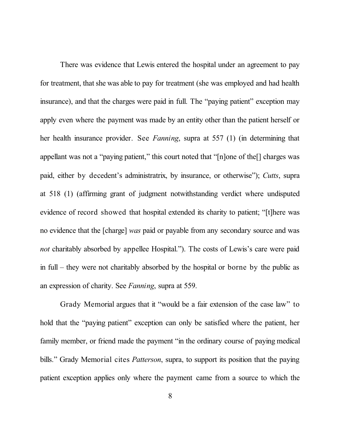There was evidence that Lewis entered the hospital under an agreement to pay for treatment, that she was able to pay for treatment (she was employed and had health insurance), and that the charges were paid in full. The "paying patient" exception may apply even where the payment was made by an entity other than the patient herself or her health insurance provider. See *Fanning*, supra at 557 (1) (in determining that appellant was not a "paying patient," this court noted that "[n]one of the[] charges was paid, either by decedent's administratrix, by insurance, or otherwise"); *Cutts*, supra at 518 (1) (affirming grant of judgment notwithstanding verdict where undisputed evidence of record showed that hospital extended its charity to patient; "[t]here was no evidence that the [charge] *was* paid or payable from any secondary source and was *not* charitably absorbed by appellee Hospital."). The costs of Lewis's care were paid in full – they were not charitably absorbed by the hospital or borne by the public as an expression of charity. See *Fanning*, supra at 559.

Grady Memorial argues that it "would be a fair extension of the case law" to hold that the "paying patient" exception can only be satisfied where the patient, her family member, or friend made the payment "in the ordinary course of paying medical bills." Grady Memorial cites *Patterson*, supra, to support its position that the paying patient exception applies only where the payment came from a source to which the